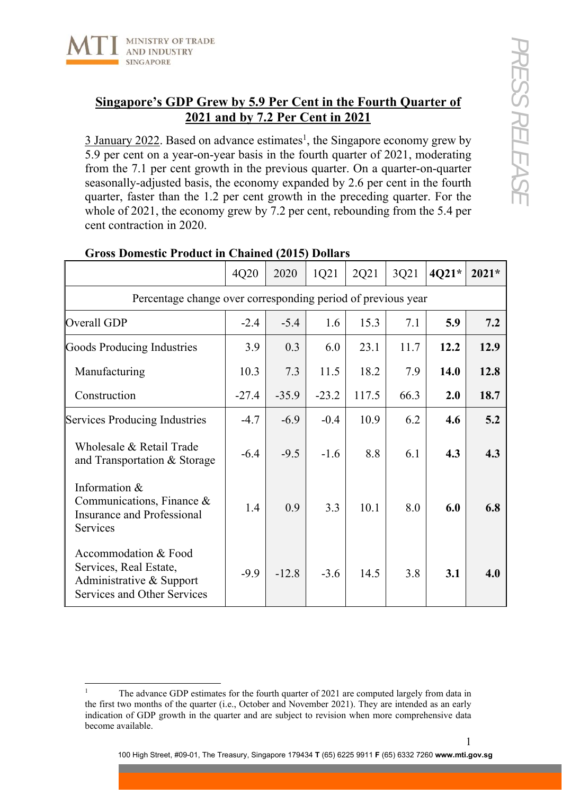

## **Singapore's GDP Grew by 5.9 Per Cent in the Fourth Quarter of 2021 and by 7.2 Per Cent in 2021**

 $\frac{3 \text{ January } 2022}{2 \text{ years}}$ . Based on advance estimates<sup>1</sup>, the Singapore economy grew by 5.9 per cent on a year-on-year basis in the fourth quarter of 2021, moderating from the 7.1 per cent growth in the previous quarter. On a quarter-on-quarter seasonally-adjusted basis, the economy expanded by 2.6 per cent in the fourth quarter, faster than the 1.2 per cent growth in the preceding quarter. For the whole of 2021, the economy grew by 7.2 per cent, rebounding from the 5.4 per cent contraction in 2020.

|                                                                                                                  | 4Q20    | 2020    | 1Q21    | 2Q21  | 3Q21 | 4Q21* | $2021*$ |  |  |  |
|------------------------------------------------------------------------------------------------------------------|---------|---------|---------|-------|------|-------|---------|--|--|--|
| Percentage change over corresponding period of previous year                                                     |         |         |         |       |      |       |         |  |  |  |
| Overall GDP                                                                                                      | $-2.4$  | $-5.4$  | 1.6     | 15.3  | 7.1  | 5.9   | 7.2     |  |  |  |
| Goods Producing Industries                                                                                       | 3.9     | 0.3     | 6.0     | 23.1  | 11.7 | 12.2  | 12.9    |  |  |  |
| Manufacturing                                                                                                    | 10.3    | 7.3     | 11.5    | 18.2  | 7.9  | 14.0  | 12.8    |  |  |  |
| Construction                                                                                                     | $-27.4$ | $-35.9$ | $-23.2$ | 117.5 | 66.3 | 2.0   | 18.7    |  |  |  |
| Services Producing Industries                                                                                    | $-4.7$  | $-6.9$  | $-0.4$  | 10.9  | 6.2  | 4.6   | 5.2     |  |  |  |
| Wholesale & Retail Trade<br>and Transportation & Storage                                                         | $-6.4$  | $-9.5$  | $-1.6$  | 8.8   | 6.1  | 4.3   | 4.3     |  |  |  |
| Information &<br>Communications, Finance &<br><b>Insurance and Professional</b><br>Services                      | 1.4     | 0.9     | 3.3     | 10.1  | 8.0  | 6.0   | 6.8     |  |  |  |
| Accommodation & Food<br>Services, Real Estate,<br>Administrative & Support<br><b>Services and Other Services</b> | $-9.9$  | $-12.8$ | $-3.6$  | 14.5  | 3.8  | 3.1   | 4.0     |  |  |  |

## **Gross Domestic Product in Chained (2015) Dollars**

<sup>1</sup> The advance GDP estimates for the fourth quarter of 2021 are computed largely from data in the first two months of the quarter (i.e., October and November 2021). They are intended as an early indication of GDP growth in the quarter and are subject to revision when more comprehensive data become available.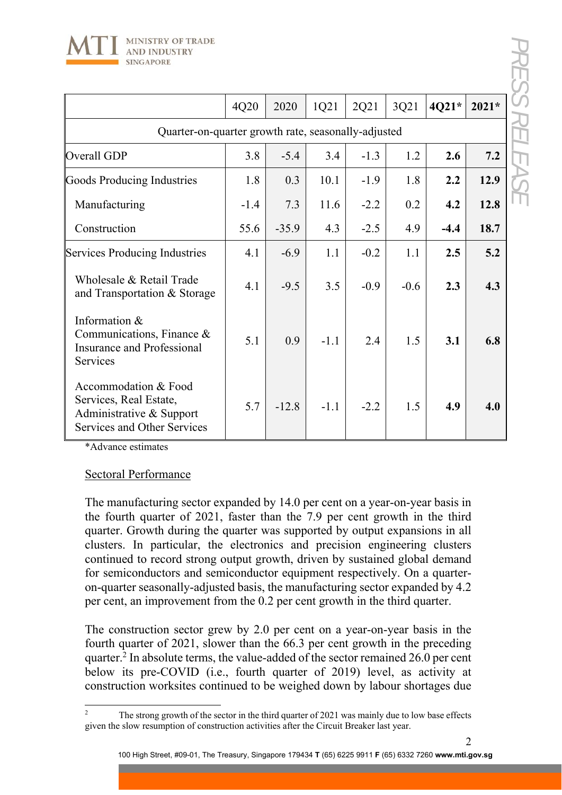

|                                                                                                                  | 4Q20   | 2020    | 1Q21   | 2Q21   | 3Q21   | 4Q21*  | $2021*$ |  |  |
|------------------------------------------------------------------------------------------------------------------|--------|---------|--------|--------|--------|--------|---------|--|--|
| Quarter-on-quarter growth rate, seasonally-adjusted                                                              |        |         |        |        |        |        |         |  |  |
| Overall GDP                                                                                                      | 3.8    | $-5.4$  | 3.4    | $-1.3$ | 1.2    | 2.6    | 7.2     |  |  |
| <b>Goods Producing Industries</b>                                                                                | 1.8    | 0.3     | 10.1   | $-1.9$ | 1.8    | 2.2    | 12.9    |  |  |
| Manufacturing                                                                                                    | $-1.4$ | 7.3     | 11.6   | $-2.2$ | 0.2    | 4.2    | 12.8    |  |  |
| Construction                                                                                                     | 55.6   | $-35.9$ | 4.3    | $-2.5$ | 4.9    | $-4.4$ | 18.7    |  |  |
| <b>Services Producing Industries</b>                                                                             | 4.1    | $-6.9$  | 1.1    | $-0.2$ | 1.1    | 2.5    | 5.2     |  |  |
| Wholesale & Retail Trade<br>and Transportation & Storage                                                         | 4.1    | $-9.5$  | 3.5    | $-0.9$ | $-0.6$ | 2.3    | 4.3     |  |  |
| Information &<br>Communications, Finance $\&$<br>Insurance and Professional<br>Services                          | 5.1    | 0.9     | $-1.1$ | 2.4    | 1.5    | 3.1    | 6.8     |  |  |
| Accommodation & Food<br>Services, Real Estate,<br>Administrative & Support<br><b>Services and Other Services</b> | 5.7    | $-12.8$ | $-1.1$ | $-2.2$ | 1.5    | 4.9    | 4.0     |  |  |

\*Advance estimates

## Sectoral Performance

The manufacturing sector expanded by 14.0 per cent on a year-on-year basis in the fourth quarter of 2021, faster than the 7.9 per cent growth in the third quarter. Growth during the quarter was supported by output expansions in all clusters. In particular, the electronics and precision engineering clusters continued to record strong output growth, driven by sustained global demand for semiconductors and semiconductor equipment respectively. On a quarteron-quarter seasonally-adjusted basis, the manufacturing sector expanded by 4.2 per cent, an improvement from the 0.2 per cent growth in the third quarter.

The construction sector grew by 2.0 per cent on a year-on-year basis in the fourth quarter of 2021, slower than the 66.3 per cent growth in the preceding quarter.<sup>2</sup> In absolute terms, the value-added of the sector remained 26.0 per cent below its pre-COVID (i.e., fourth quarter of 2019) level, as activity at construction worksites continued to be weighed down by labour shortages due

2

<sup>2</sup> The strong growth of the sector in the third quarter of 2021 was mainly due to low base effects given the slow resumption of construction activities after the Circuit Breaker last year.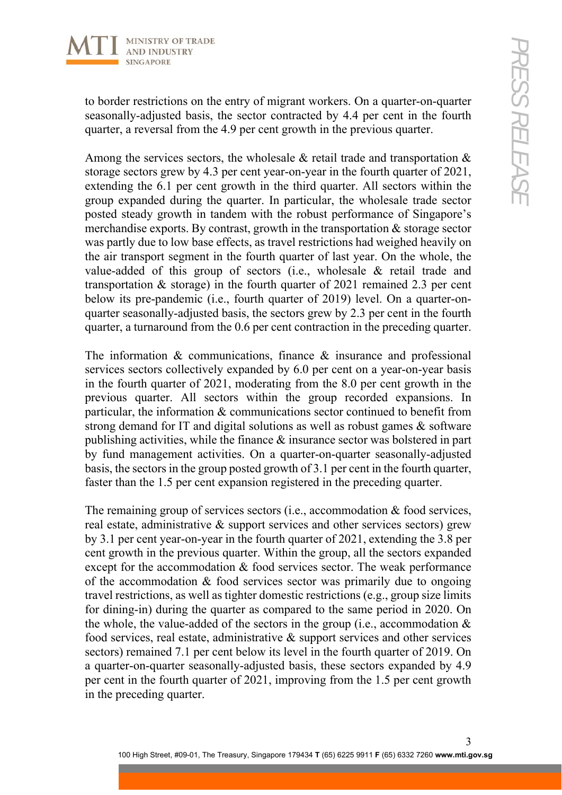

to border restrictions on the entry of migrant workers. On a quarter-on-quarter seasonally-adjusted basis, the sector contracted by 4.4 per cent in the fourth quarter, a reversal from the 4.9 per cent growth in the previous quarter.

Among the services sectors, the wholesale & retail trade and transportation & storage sectors grew by 4.3 per cent year-on-year in the fourth quarter of 2021, extending the 6.1 per cent growth in the third quarter. All sectors within the group expanded during the quarter. In particular, the wholesale trade sector posted steady growth in tandem with the robust performance of Singapore's merchandise exports. By contrast, growth in the transportation & storage sector was partly due to low base effects, as travel restrictions had weighed heavily on the air transport segment in the fourth quarter of last year. On the whole, the value-added of this group of sectors (i.e., wholesale & retail trade and transportation & storage) in the fourth quarter of 2021 remained 2.3 per cent below its pre-pandemic (i.e., fourth quarter of 2019) level. On a quarter-onquarter seasonally-adjusted basis, the sectors grew by 2.3 per cent in the fourth quarter, a turnaround from the 0.6 per cent contraction in the preceding quarter.

The information & communications, finance & insurance and professional services sectors collectively expanded by 6.0 per cent on a year-on-year basis in the fourth quarter of 2021, moderating from the 8.0 per cent growth in the previous quarter. All sectors within the group recorded expansions. In particular, the information & communications sector continued to benefit from strong demand for IT and digital solutions as well as robust games & software publishing activities, while the finance & insurance sector was bolstered in part by fund management activities. On a quarter-on-quarter seasonally-adjusted basis, the sectors in the group posted growth of 3.1 per cent in the fourth quarter, faster than the 1.5 per cent expansion registered in the preceding quarter.

The remaining group of services sectors (i.e., accommodation & food services, real estate, administrative & support services and other services sectors) grew by 3.1 per cent year-on-year in the fourth quarter of 2021, extending the 3.8 per cent growth in the previous quarter. Within the group, all the sectors expanded except for the accommodation & food services sector. The weak performance of the accommodation & food services sector was primarily due to ongoing travel restrictions, as well as tighter domestic restrictions (e.g., group size limits for dining-in) during the quarter as compared to the same period in 2020. On the whole, the value-added of the sectors in the group (i.e., accommodation  $\&$ food services, real estate, administrative & support services and other services sectors) remained 7.1 per cent below its level in the fourth quarter of 2019. On a quarter-on-quarter seasonally-adjusted basis, these sectors expanded by 4.9 per cent in the fourth quarter of 2021, improving from the 1.5 per cent growth in the preceding quarter.